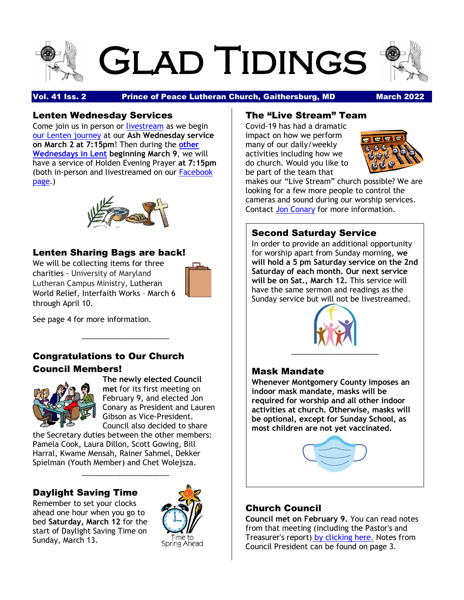



Vol. 41 Iss. 2 Prince of Peace Lutheran Church, Gaithersburg, MD March 2022

### Lenten Wednesday Services

Come join us in person or [livestream](https://r20.rs6.net/tn.jsp?f=001w29Vr8QN1WD5VQ5hOGbkxNVSVEt2KBKzR0ctirh0dRm0vfGXMU-vDpNJYCs9qJidYfhR9AGlZV9oRS-zf-bGu73HeQ-5btKtvsCAhh1Y2wmGrt7nqdOvBZRVhul-ohi5u_jEzxDqzdEV5PEAyWwbQ71TpKzCU9FpA8h_l15fMQk=&c=lZoR2Upntil02ZSHNIRU0YC2icXmzBxHgylahRzhl7zCOI7lwNDFbQ==&ch=d3WjhEVEUgEcK_BuEAigqmhSkySLE4aZ9aCs4ma0OZjZS-0uuab25g==) as we begin [our Lenten journey](https://r20.rs6.net/tn.jsp?f=001w29Vr8QN1WD5VQ5hOGbkxNVSVEt2KBKzR0ctirh0dRm0vfGXMU-vDgAoAyZJ09BFDf4ck2bDz_gyZ-ezv9Tw55doAJNcXThC8lB2V0zGbLr_7QFw0FOECitV6xT694Ew1imCMmrk4x5_uoMt3fcZ9X1RZNRNa4Xcxna7Z5uzg24z0YWoYwaw8rALUgyjFS3PzXw4T_bKrRo=&c=lZoR2Upntil02ZSHNIRU0YC2icXmzBxHgylahRzhl7zCOI7lwNDFbQ==&ch=d3WjhEVEUgEcK_BuEAigqmhSkySLE4aZ9aCs4ma0OZjZS-0uuab25g==) at our **Ash Wednesday service on March 2 at 7:15pm**! Then during the **[other](https://r20.rs6.net/tn.jsp?f=001w29Vr8QN1WD5VQ5hOGbkxNVSVEt2KBKzR0ctirh0dRm0vfGXMU-vDgAoAyZJ09BFDf4ck2bDz_gyZ-ezv9Tw55doAJNcXThC8lB2V0zGbLr_7QFw0FOECitV6xT694Ew1imCMmrk4x5_uoMt3fcZ9X1RZNRNa4Xcxna7Z5uzg24z0YWoYwaw8rALUgyjFS3PzXw4T_bKrRo=&c=lZoR2Upntil02ZSHNIRU0YC2icXmzBxHgylahRzhl7zCOI7lwNDFbQ==&ch=d3WjhEVEUgEcK_BuEAigqmhSkySLE4aZ9aCs4ma0OZjZS-0uuab25g==)  [Wednesdays in Lent](https://r20.rs6.net/tn.jsp?f=001w29Vr8QN1WD5VQ5hOGbkxNVSVEt2KBKzR0ctirh0dRm0vfGXMU-vDgAoAyZJ09BFDf4ck2bDz_gyZ-ezv9Tw55doAJNcXThC8lB2V0zGbLr_7QFw0FOECitV6xT694Ew1imCMmrk4x5_uoMt3fcZ9X1RZNRNa4Xcxna7Z5uzg24z0YWoYwaw8rALUgyjFS3PzXw4T_bKrRo=&c=lZoR2Upntil02ZSHNIRU0YC2icXmzBxHgylahRzhl7zCOI7lwNDFbQ==&ch=d3WjhEVEUgEcK_BuEAigqmhSkySLE4aZ9aCs4ma0OZjZS-0uuab25g==) beginning March 9**, we will have a service of Holden Evening Prayer **at 7:15pm** (both in-person and livestreamed on our [Facebook](https://r20.rs6.net/tn.jsp?f=001w29Vr8QN1WD5VQ5hOGbkxNVSVEt2KBKzR0ctirh0dRm0vfGXMU-vDpNJYCs9qJidYfhR9AGlZV9oRS-zf-bGu73HeQ-5btKtvsCAhh1Y2wmGrt7nqdOvBZRVhul-ohi5u_jEzxDqzdEV5PEAyWwbQ71TpKzCU9FpA8h_l15fMQk=&c=lZoR2Upntil02ZSHNIRU0YC2icXmzBxHgylahRzhl7zCOI7lwNDFbQ==&ch=d3WjhEVEUgEcK_BuEAigqmhSkySLE4aZ9aCs4ma0OZjZS-0uuab25g==)  [page.](https://r20.rs6.net/tn.jsp?f=001w29Vr8QN1WD5VQ5hOGbkxNVSVEt2KBKzR0ctirh0dRm0vfGXMU-vDpNJYCs9qJidYfhR9AGlZV9oRS-zf-bGu73HeQ-5btKtvsCAhh1Y2wmGrt7nqdOvBZRVhul-ohi5u_jEzxDqzdEV5PEAyWwbQ71TpKzCU9FpA8h_l15fMQk=&c=lZoR2Upntil02ZSHNIRU0YC2icXmzBxHgylahRzhl7zCOI7lwNDFbQ==&ch=d3WjhEVEUgEcK_BuEAigqmhSkySLE4aZ9aCs4ma0OZjZS-0uuab25g==))



### Lenten Sharing Bags are back!

We will be collecting items for three charities - University of Maryland Lutheran Campus Ministry, Lutheran World Relief, Interfaith Works – March 6 through April 10.



See page 4 for more information.

## Congratulations to Our Church Council Members!

\_\_\_\_\_\_\_\_\_\_\_\_\_\_\_\_\_\_\_\_\_



**The newly elected Council met** for its first meeting on February 9, and elected Jon Conary as President and Lauren Gibson as Vice-President. Council also decided to share

the Secretary duties between the other members: Pamela Cook, Laura Dillon, Scott Gowing, Bill Harral, Kwame Mensah, Rainer Sahmel, Dekker Spielman (Youth Member) and Chet Wolejsza.

\_\_\_\_\_\_\_\_\_\_\_\_\_\_\_\_\_\_\_\_\_

### Daylight Saving Time

Remember to set your clocks ahead one hour when you go to bed **Saturday, March 12** for the start of Daylight Saving Time on Sunday, March 13.



### The "Live Stream" Team

Covid-19 has had a dramatic impact on how we perform many of our daily/weekly activities including how we do church. Would you like to be part of the team that



makes our "Live Stream" church possible? We are looking for a few more people to control the cameras and sound during our worship services. Contact [Jon Conary](mailto:drjon2018@gmail.com) for more information.

### Second Saturday Service

In order to provide an additional opportunity for worship apart from Sunday morning, **we will hold a 5 pm Saturday service on the 2nd Saturday of each month. Our next service will be on Sat., March 12.** This service will have the same sermon and readings as the Sunday service but will not be livestreamed.



### Mask Mandate

**Whenever Montgomery County imposes an indoor mask mandate, masks will be required for worship and all other indoor activities at church. Otherwise, masks will be optional, except for Sunday School, as most children are not yet vaccinated.**



### Church Council

**Council met on February 9.** You can read notes from that meeting (including the Pastor's and Treasurer's report) [by clicking here.](https://r20.rs6.net/tn.jsp?f=001w29Vr8QN1WD5VQ5hOGbkxNVSVEt2KBKzR0ctirh0dRm0vfGXMU-vDun057lwgDczw1M8YutMdWn22RC1XWeFEH15eKiDgIvPwOy4AA865K83QxCL3v2I_QECQH3fI4YBB-OPhtmewhNoNRiMlAotQkokDTGwPsg38-dbL6ryXJ80G27hZ6h8wkTn7PJyfYtPljhbmlYLflDj6Y14407z2ZMhKQEHKjSuCSh3WfRFdTA=&c=lZoR2Upntil02ZSHNIRU0YC2icXmzBxHgylahRzhl7zCOI7lwNDFbQ==&ch=d3WjhEVEUgEcK_BuEAigqmhSkySLE4aZ9aCs4ma0OZjZS-0uuab25g==) Notes from Council President can be found on page 3.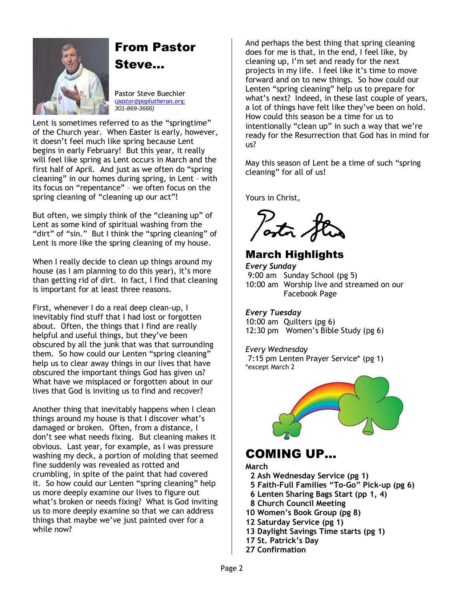

# From Pastor

Steve…

Pastor Steve Buechler (*[pastor@poplutheran.org](mailto:pastor@poplutheran.org); 301-869-3666)*

Lent is sometimes referred to as the "springtime" of the Church year. When Easter is early, however, it doesn't feel much like spring because Lent begins in early February! But this year, it really will feel like spring as Lent occurs in March and the first half of April. And just as we often do "spring cleaning" in our homes during spring, in Lent – with its focus on "repentance" – we often focus on the spring cleaning of "cleaning up our act"!

But often, we simply think of the "cleaning up" of Lent as some kind of spiritual washing from the "dirt" of "sin." But I think the "spring cleaning" of Lent is more like the spring cleaning of my house.

When I really decide to clean up things around my house (as I am planning to do this year), it's more than getting rid of dirt. In fact, I find that cleaning is important for at least three reasons.

First, whenever I do a real deep clean-up, I inevitably find stuff that I had lost or forgotten about. Often, the things that I find are really helpful and useful things, but they've been obscured by all the junk that was that surrounding them. So how could our Lenten "spring cleaning" help us to clear away things in our lives that have obscured the important things God has given us? What have we misplaced or forgotten about in our lives that God is inviting us to find and recover?

Another thing that inevitably happens when I clean things around my house is that I discover what's damaged or broken. Often, from a distance, I don't see what needs fixing. But cleaning makes it obvious. Last year, for example, as I was pressure washing my deck, a portion of molding that seemed fine suddenly was revealed as rotted and crumbling, in spite of the paint that had covered it. So how could our Lenten "spring cleaning" help us more deeply examine our lives to figure out what's broken or needs fixing? What is God inviting us to more deeply examine so that we can address things that maybe we've just painted over for a while now?

And perhaps the best thing that spring cleaning does for me is that, in the end, I feel like, by cleaning up, I'm set and ready for the next projects in my life. I feel like it's time to move forward and on to new things. So how could our Lenten "spring cleaning" help us to prepare for what's next? Indeed, in these last couple of years, a lot of things have felt like they've been on hold. How could this season be a time for us to intentionally "clean up" in such a way that we're ready for the Resurrection that God has in mind for us?

May this season of Lent be a time of such "spring cleaning" for all of us!

Yours in Christ,

astr.

## March Highlights

*Every Sunday* 9:00 am Sunday School (pg 5) 10:00 am Worship live and streamed on our Facebook Page

#### *Every Tuesday*

10:00 am Quilters (pg 6) 12:30 pm Women's Bible Study (pg 6)

#### *Every Wednesday*

7:15 pm Lenten Prayer Service\* (pg 1) \*except March 2



## COMING UP…

**March**

- **2 Ash Wednesday Service (pg 1)**
- **5 Faith-Full Families "To-Go" Pick-up (pg 6)**
- **6 Lenten Sharing Bags Start (pp 1, 4)**
- **8 Church Council Meeting**
- **10 Women's Book Group (pg 8)**
- **12 Saturday Service (pg 1)**
- **13 Daylight Savings Time starts (pg 1)**
- **17 St. Patrick's Day**
- **27 Confirmation**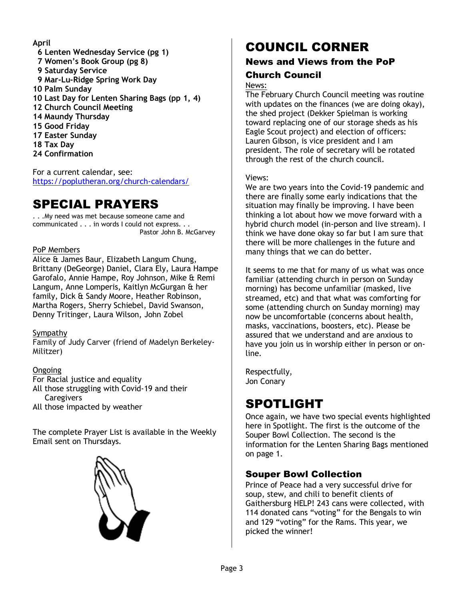#### **April**

 **6 Lenten Wednesday Service (pg 1) 7 Women's Book Group (pg 8) 9 Saturday Service 9 Mar-Lu-Ridge Spring Work Day 10 Palm Sunday 10 Last Day for Lenten Sharing Bags (pp 1, 4) 12 Church Council Meeting 14 Maundy Thursday 15 Good Friday 17 Easter Sunday 18 Tax Day 24 Confirmation**

For a current calendar, see: <https://poplutheran.org/church-calendars/>

## SPECIAL PRAYERS

. . .My need was met because someone came and communicated . . . in words I could not express. . . Pastor John B. McGarvey

#### PoP Members

Alice & James Baur, Elizabeth Langum Chung, Brittany (DeGeorge) Daniel, Clara Ely, Laura Hampe Garofalo, Annie Hampe, Roy Johnson, Mike & Remi Langum, Anne Lomperis, Kaitlyn McGurgan & her family, Dick & Sandy Moore, Heather Robinson, Martha Rogers, Sherry Schiebel, David Swanson, Denny Tritinger, Laura Wilson, John Zobel

#### Sympathy

Family of Judy Carver (friend of Madelyn Berkeley-Militzer)

#### Ongoing

For Racial justice and equality

All those struggling with Covid-19 and their **Caregivers** 

All those impacted by weather

The complete Prayer List is available in the Weekly Email sent on Thursdays.



## COUNCIL CORNER

### News and Views from the PoP Church Council

#### News:

The February Church Council meeting was routine with updates on the finances (we are doing okay), the shed project (Dekker Spielman is working toward replacing one of our storage sheds as his Eagle Scout project) and election of officers: Lauren Gibson, is vice president and I am president. The role of secretary will be rotated through the rest of the church council.

#### Views:

We are two years into the Covid-19 pandemic and there are finally some early indications that the situation may finally be improving. I have been thinking a lot about how we move forward with a hybrid church model (in-person and live stream). I think we have done okay so far but I am sure that there will be more challenges in the future and many things that we can do better.

It seems to me that for many of us what was once familiar (attending church in person on Sunday morning) has become unfamiliar (masked, live streamed, etc) and that what was comforting for some (attending church on Sunday morning) may now be uncomfortable (concerns about health, masks, vaccinations, boosters, etc). Please be assured that we understand and are anxious to have you join us in worship either in person or online.

Respectfully, Jon Conary

## SPOTLIGHT

Once again, we have two special events highlighted here in Spotlight. The first is the outcome of the Souper Bowl Collection. The second is the information for the Lenten Sharing Bags mentioned on page 1.

### Souper Bowl Collection

Prince of Peace had a very successful drive for soup, stew, and chili to benefit clients of Gaithersburg HELP! 243 cans were collected, with 114 donated cans "voting" for the Bengals to win and 129 "voting" for the Rams. This year, we picked the winner!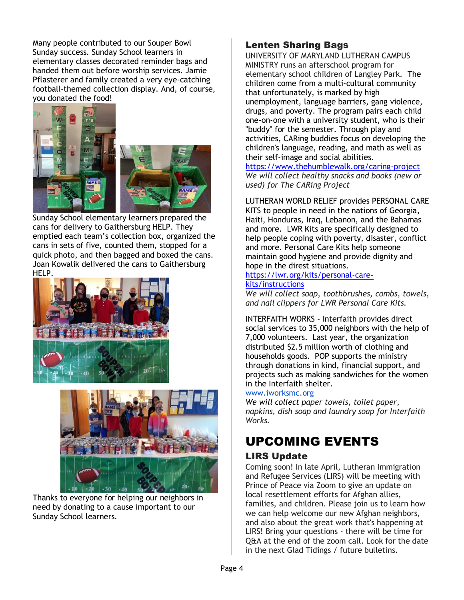Many people contributed to our Souper Bowl Sunday success. Sunday School learners in elementary classes decorated reminder bags and handed them out before worship services. Jamie Pflasterer and family created a very eye-catching football-themed collection display. And, of course, you donated the food!



Sunday School elementary learners prepared the cans for delivery to Gaithersburg HELP. They emptied each team's collection box, organized the cans in sets of five, counted them, stopped for a quick photo, and then bagged and boxed the cans. Joan Kowalik delivered the cans to Gaithersburg HELP.





Thanks to everyone for helping our neighbors in need by donating to a cause important to our Sunday School learners.

### Lenten Sharing Bags

UNIVERSITY OF MARYLAND LUTHERAN CAMPUS MINISTRY runs an afterschool program for elementary school children of Langley Park. The children come from a multi-cultural community that unfortunately, is marked by high unemployment, language barriers, gang violence, drugs, and poverty. The program pairs each child one-on-one with a university student, who is their "buddy" for the semester. Through play and activities, CARing buddies focus on developing the children's language, reading, and math as well as their self-image and social abilities.

<https://www.thehumblewalk.org/caring-project> *We will collect healthy snacks and books (new or used) for The CARing Project*

LUTHERAN WORLD RELIEF provides PERSONAL CARE KITS to people in need in the nations of Georgia, Haiti, Honduras, Iraq, Lebanon, and the Bahamas and more. LWR Kits are specifically designed to help people coping with poverty, disaster, conflict and more. Personal Care Kits help someone maintain good hygiene and provide dignity and hope in the direst situations.

#### [https://lwr.org/kits/personal-care](https://lwr.org/kits/personal-care-kits/instructions)[kits/instructions](https://lwr.org/kits/personal-care-kits/instructions)

*We will collect soap, toothbrushes, combs, towels, and nail clippers for LWR Personal Care Kits.*

INTERFAITH WORKS - Interfaith provides direct social services to 35,000 neighbors with the help of 7,000 volunteers. Last year, the organization distributed \$2.5 million worth of clothing and households goods. POP supports the ministry through donations in kind, financial support, and projects such as making sandwiches for the women in the Interfaith shelter.

#### [www.iworksmc.org](http://www.iworksmc.org/)

*We will collect paper towels, toilet paper, napkins, dish soap and laundry soap for Interfaith Works.*

## UPCOMING EVENTS

### LIRS Update

Coming soon! In late April, Lutheran Immigration and Refugee Services (LIRS) will be meeting with Prince of Peace via Zoom to give an update on local resettlement efforts for Afghan allies, families, and children. Please join us to learn how we can help welcome our new Afghan neighbors, and also about the great work that's happening at LIRS! Bring your questions - there will be time for Q&A at the end of the zoom call. Look for the date in the next Glad Tidings / future bulletins.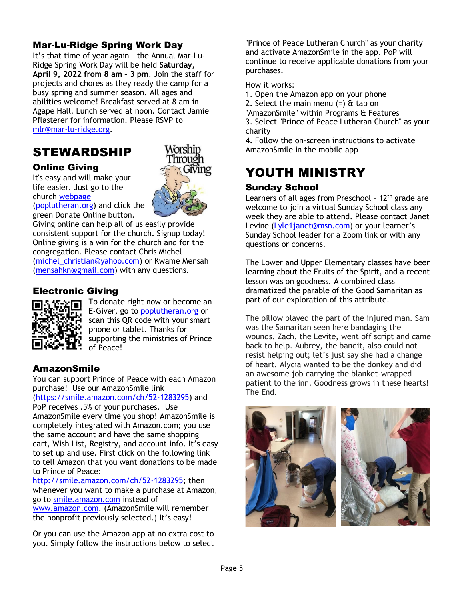### Mar-Lu-Ridge Spring Work Day

It's that time of year again – the Annual Mar-Lu-Ridge Spring Work Day will be held **Saturday, April 9, 2022 from 8 am – 3 pm**. Join the staff for projects and chores as they ready the camp for a busy spring and summer season. All ages and abilities welcome! Breakfast served at 8 am in Agape Hall. Lunch served at noon. Contact Jamie Pflasterer for information. Please RSVP to [mlr@mar-lu-ridge.org.](file:///D:/mlr@mar-lu-ridge.org)

## STEWARDSHIP

### Online Giving

It's easy and will make your life easier. Just go to the church [webpage](http://r20.rs6.net/tn.jsp?f=001rHFNM1aRfZSTBOJddqwgWDQS23X_tjB4JzuDPzv81V02HcQudtSALkttGe3JsYQN9BS9ESE_57tyaXHx39aFiNaGnYcD_hsL3VmcT5-GTzVrUZzJZYAJIu5IMBmlFOutpVY4LcB6pIDnG5vm8HCPe7tzS3b9TB0zmTfENTWGYn8=&c=k6w6fJcGSiq5f5rKt6TjrSZmkTMnl0ppaY5MRWlW97EOcxRn1hOmwQ==&ch=2fegdWEToyiZWBUOm4zHz9pOKFoIp1blw4oiHx-DICx2aG3JYq8iwg==)

[\(poplutheran.org\)](http://poplutheran.org/) and click the green Donate Online button.

Giving online can help all of us easily provide consistent support for the church. Signup today! Online giving is a win for the church and for the congregation. Please contact Chris Michel [\(michel\\_christian@yahoo.com\)](mailto:michel_christian@yahoo.com) or Kwame Mensah [\(mensahkn@gmail.com\)](mailto:mensahkn@gmail.com) with any questions.

### Electronic Giving



To donate right now or become an E-Giver, go to [poplutheran.org](http://www.poplutheran.org/) or scan this QR code with your smart phone or tablet. Thanks for supporting the ministries of Prince of Peace!

Worship Through

Giving

### AmazonSmile

You can support Prince of Peace with each Amazon purchase! Use our AmazonSmile link

[\(https://smile.amazon.com/ch/52-1283295\)](https://smile.amazon.com/ch/52-1283295) and PoP receives .5% of your purchases. Use AmazonSmile every time you shop! AmazonSmile is completely integrated with Amazon.com; you use the same account and have the same shopping

cart, Wish List, Registry, and account info. It's easy to set up and use. First click on the following link to tell Amazon that you want donations to be made to Prince of Peace:

[http://smile.amazon.com/ch/52-1283295;](http://smile.amazon.com/ch/52-1283295) then whenever you want to make a purchase at Amazon, go to [smile.amazon.com](http://smile.amazon.com/) instead of [www.amazon.com.](http://www.amazon.com/) (AmazonSmile will remember

the nonprofit previously selected.) It's easy!

Or you can use the Amazon app at no extra cost to you. Simply follow the instructions below to select "Prince of Peace Lutheran Church" as your charity and activate AmazonSmile in the app. PoP will continue to receive applicable donations from your purchases.

How it works:

- 1. Open the Amazon app on your phone
- 2. Select the main menu  $(=)$  & tap on
- "AmazonSmile" within Programs & Features

3. Select "Prince of Peace Lutheran Church" as your charity

4. Follow the on-screen instructions to activate AmazonSmile in the mobile app

## YOUTH MINISTRY

### Sunday School

Learners of all ages from Preschool -  $12<sup>th</sup>$  grade are welcome to join a virtual Sunday School class any week they are able to attend. Please contact Janet Levine [\(Lyle1janet@msn.com](mailto:Lyle1janet@msn.com)) or your learner's Sunday School leader for a Zoom link or with any questions or concerns.

The Lower and Upper Elementary classes have been learning about the Fruits of the Spirit, and a recent lesson was on goodness. A combined class dramatized the parable of the Good Samaritan as part of our exploration of this attribute.

The pillow played the part of the injured man. Sam was the Samaritan seen here bandaging the wounds. Zach, the Levite, went off script and came back to help. Aubrey, the bandit, also could not resist helping out; let's just say she had a change of heart. Alycia wanted to be the donkey and did an awesome job carrying the blanket-wrapped patient to the inn. Goodness grows in these hearts! The End.

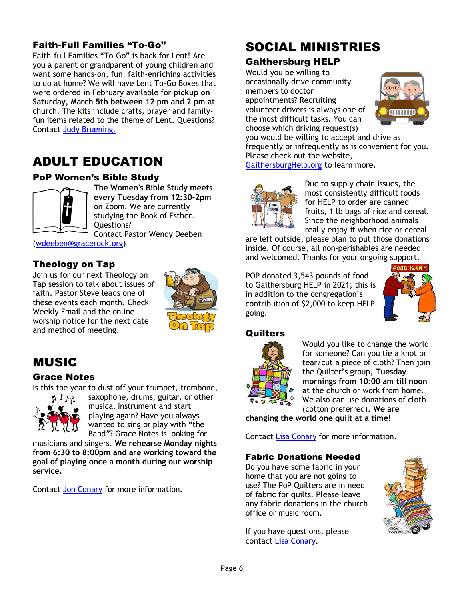## Faith-Full Families "To-Go"

Faith-full Families "To-Go" is back for Lent! Are you a parent or grandparent of young children and want some hands-on, fun, faith-enriching activities to do at home? We will have Lent To-Go Boxes that were ordered in February available for **pickup on Saturday, March 5th between 12 pm and 2 pm** at church. The kits include crafts, prayer and familyfun items related to the theme of Lent. Questions? Contact [Judy Bruening](mailto:judy.bruening53@gmail.com).

## ADULT EDUCATION

### PoP Women's Bible Study



**The Women's Bible Study meets every Tuesday from 12:30-2pm** on Zoom. We are currently studying the Book of Esther. Questions?

Contact Pastor Wendy Deeben [\(wdeeben@gracerock.org\)](mailto:wdeeben@gracerock.org)

### Theology on Tap

Join us for our next Theology on Tap session to talk about issues of faith. Pastor Steve leads one of these events each month. Check Weekly Email and the online worship notice for the next date and method of meeting.



## MUSIC

### Grace Notes

Is this the year to dust off your trumpet, trombone,



saxophone, drums, guitar, or other musical instrument and start playing again? Have you always wanted to sing or play with "the Band"? Grace Notes is looking for

musicians and singers. **We rehearse Monday nights from 6:30 to 8:00pm and are working toward the goal of playing once a month during our worship service.**

Contact [Jon Conary](mailto:drjon2018@gmail.com) for more information.

## SOCIAL MINISTRIES

### Gaithersburg HELP

Would you be willing to occasionally drive community members to doctor appointments? Recruiting volunteer drivers is always one of the most difficult tasks. You can choose which driving request(s)



you would be willing to accept and drive as frequently or infrequently as is convenient for you. Please check out the website,

[GaithersburgHelp.org](file:///D:/GaithersburgHelp.org) to learn more.



Due to supply chain issues, the most consistently difficult foods for HELP to order are canned fruits, 1 lb bags of rice and cereal. Since the neighborhood animals really enjoy it when rice or cereal

are left outside, please plan to put those donations inside. Of course, all non-perishables are needed and welcomed. Thanks for your ongoing support.

POP donated 3,543 pounds of food to Gaithersburg HELP in 2021; this is in addition to the congregation's contribution of \$2,000 to keep HELP going.



#### **Quilters**



Would you like to change the world for someone? Can you tie a knot or tear/cut a piece of cloth? Then join the Quilter's group, **Tuesday mornings from 10:00 am till noon** at the church or work from home. We also can use donations of cloth (cotton preferred). **We are** 

**changing the world one quilt at a time!**

Contact [Lisa Conary](mailto:lconary@prodigy.net) for more information.

#### Fabric Donations Needed

Do you have some fabric in your home that you are not going to use? The PoP Quilters are in need of fabric for quilts. Please leave any fabric donations in the church office or music room.

If you have questions, please contact [Lisa Conary.](mailto:lconary@prodigy.net)

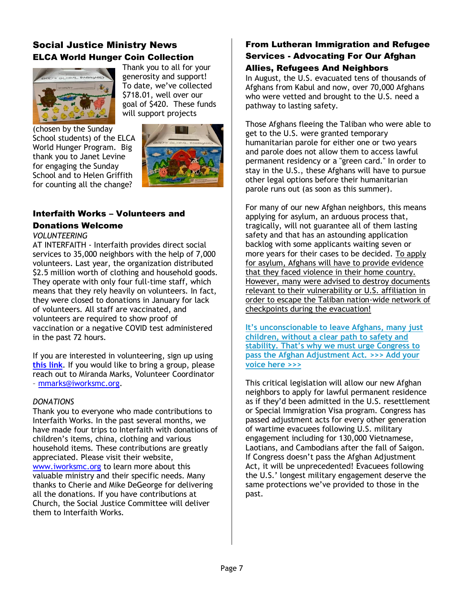### Social Justice Ministry News ELCA World Hunger Coin Collection



Thank you to all for your generosity and support! To date, we've collected \$718.01, well over our goal of \$420. These funds will support projects

(chosen by the Sunday School students) of the ELCA World Hunger Program. Big thank you to Janet Levine for engaging the Sunday School and to Helen Griffith for counting all the change?



#### Interfaith Works – Volunteers and Donations Welcome

## *VOLUNTEERING*

AT INTERFAITH - Interfaith provides direct social services to 35,000 neighbors with the help of 7,000 volunteers. Last year, the organization distributed \$2.5 million worth of clothing and household goods. They operate with only four full-time staff, which means that they rely heavily on volunteers. In fact, they were closed to donations in January for lack of volunteers. All staff are vaccinated, and volunteers are required to show proof of vaccination or a negative COVID test administered in the past 72 hours.

If you are interested in volunteering, sign up using **[this link](https://u16155629.ct.sendgrid.net/ls/click?upn=4IKt4lGno4-2FtanyA3SD2xah5tZZw7Vwl8flsSRWewkcqCDc9CzARPOVuqiyehwhv-2FW8gocmQUOG7NsN8Tk4IwUI8edZMUTB6SO2rAfTERhXKoCM4TAzUw1G0Uae2Ku6J-weh_U8-2FzRMA8pwK6BcKXi4HrKjG-2F76yTZVfAq8o8pAOcOZzhVyNpF3Ed6nRO3qGK1TKzPx3KwD35H54c2jZ-2F54D8LP6UbzGxk-2BNI49uFEw-2FbtSjcgiITk5G-2FFLwlE1L-2B6qBSGL-2BYfz24GV8iC-2BlixsrrZeS26IWtSUAY5VcIFxK9FBoo-2FNIEKBfzKQwhcAlnpNiogvHUO2XboQlOnCwl27eWnnBFG2A8fH-2B9p8fd-2BpfzCldcXjtCc-2Bx8G-2FIk8ELkM5uetLYyYPSAaMPN3a1VMK-2FnuQah-2BhsxsUNZsRCgzk3DtYeAtWSWyKCuNnf68Mf43vl22DVJeuKOUjkdR6o1iOreTUzGxX-2BnwVE8srykxC1-2FhSbsO3hwNI5-2Blk9TodmCT6zI)**. If you would like to bring a group, please reach out to Miranda Marks, Volunteer Coordinator – [mmarks@iworksmc.org.](mailto:mmarks@iworksmc.org)

#### *DONATIONS*

Thank you to everyone who made contributions to Interfaith Works. In the past several months, we have made four trips to Interfaith with donations of children's items, china, clothing and various household items. These contributions are greatly appreciated. Please visit their website, [www.iworksmc.org](http://www.iworksmc.org/) to learn more about this valuable ministry and their specific needs. Many thanks to Cherie and Mike DeGeorge for delivering all the donations. If you have contributions at Church, the Social Justice Committee will deliver them to Interfaith Works.

### From Lutheran Immigration and Refugee Services - Advocating For Our Afghan Allies, Refugees And Neighbors

In August, the U.S. evacuated tens of thousands of Afghans from Kabul and now, over 70,000 Afghans who were vetted and brought to the U.S. need a pathway to lasting safety.

Those Afghans fleeing the Taliban who were able to get to the U.S. were granted temporary humanitarian parole for either one or two years and parole does not allow them to access lawful permanent residency or a "green card." In order to stay in the U.S., these Afghans will have to pursue other legal options before their humanitarian parole runs out (as soon as this summer).

For many of our new Afghan neighbors, this means applying for asylum, an arduous process that, tragically, will not guarantee all of them lasting safety and that has an astounding application backlog with some applicants waiting seven or more years for their cases to be decided. To apply for asylum, Afghans will have to provide evidence that they faced violence in their home country. However, many were advised to destroy documents relevant to their vulnerability or U.S. affiliation in order to escape the Taliban nation-wide network of checkpoints during the evacuation!

**[It's unconscionable to leave Afghans, many](http://my.lirs.org/site/R?i=wrKWzFoQqBDNSvEFneNb9pL3y5VAkKSSuV1fOgIqsyv7XubHZeCKMw) just [children, without a clear path to safety and](http://my.lirs.org/site/R?i=wrKWzFoQqBDNSvEFneNb9pL3y5VAkKSSuV1fOgIqsyv7XubHZeCKMw)  [stability. That's why we must urge Congress to](http://my.lirs.org/site/R?i=wrKWzFoQqBDNSvEFneNb9pL3y5VAkKSSuV1fOgIqsyv7XubHZeCKMw)  [pass the Afghan Adjustment Act. >>> Add your](http://my.lirs.org/site/R?i=wrKWzFoQqBDNSvEFneNb9pL3y5VAkKSSuV1fOgIqsyv7XubHZeCKMw)  [voice here >>>](http://my.lirs.org/site/R?i=wrKWzFoQqBDNSvEFneNb9pL3y5VAkKSSuV1fOgIqsyv7XubHZeCKMw)**

This critical legislation will allow our new Afghan neighbors to apply for lawful permanent residence as if they'd been admitted in the U.S. resettlement or Special Immigration Visa program. Congress has passed adjustment acts for every other generation of wartime evacuees following U.S. military engagement including for 130,000 Vietnamese, Laotians, and Cambodians after the fall of Saigon. If Congress doesn't pass the Afghan Adjustment Act, it will be unprecedented! Evacuees following the U.S.' longest military engagement deserve the same protections we've provided to those in the past.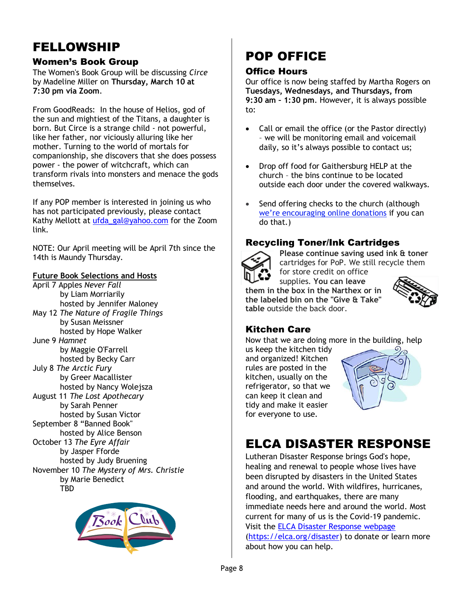## FELLOWSHIP

### Women's Book Group

The Women's Book Group will be discussing *Circe* by Madeline Miller on **Thursday, March 10 at 7:30 pm via Zoom**.

From GoodReads: In the house of Helios, god of the sun and mightiest of the Titans, a daughter is born. But Circe is a strange child - not powerful, like her father, nor viciously alluring like her mother. Turning to the world of mortals for companionship, she discovers that she does possess power - the power of witchcraft, which can transform rivals into monsters and menace the gods themselves*.*

If any POP member is interested in joining us who has not participated previously, please contact Kathy Mellott at [ufda\\_gal@yahoo.com](mailto:ufda_gal@yahoo.com) for the Zoom link.

NOTE: Our April meeting will be April 7th since the 14th is Maundy Thursday.

#### **Future Book Selections and Hosts**

April 7 Apples *Never Fall* by Liam Morriarily hosted by Jennifer Maloney May 12 *The Nature of Fragile Things* by Susan Meissner hosted by Hope Walker

June 9 *Hamnet*  by Maggie O'Farrell hosted by Becky Carr

July 8 *The Arctic Fury* by Greer Macallister hosted by Nancy Wolejsza

August 11 *The Lost Apothecary* by Sarah Penner hosted by Susan Victor September 8 "Banned Book" hosted by Alice Benson October 13 *The Eyre Affair* by Jasper Fforde hosted by Judy Bruening November 10 *The Mystery of Mrs. Christie*  by Marie Benedict TBD



## POP OFFICE

### Office Hours

Our office is now being staffed by Martha Rogers on **Tuesdays, Wednesdays, and Thursdays, from 9:30 am – 1:30 pm**. However, it is always possible to:

- Call or email the office (or the Pastor directly) – we will be monitoring email and voicemail daily, so it's always possible to contact us;
- Drop off food for Gaithersburg HELP at the church – the bins continue to be located outside each door under the covered walkways.
- Send offering checks to the church (although [we're encouraging online donations](https://r20.rs6.net/tn.jsp?f=001PVGq85x02Vx_WUSguTDU41UEOpvYkkalzBOKANLuQRKjsgbdVP-KFx1r_75evTxKyGgNIpLRlVi2L1jTfy95u7Q1BfwijCtBt6EHe3VlHAiv7tCnbhMNiODNBA4o97pzuxpZBAtMywKP8ICc55PRfK5TthqWqwp2TzK6sIKLakr3j3FMcwg6hYBMapv8tEg3lkJ-SwWRIKIxb-uYmiGy0Wyn3mI0bDKbM8QykW7kmAGX8GFW9PWj2suBiZVUmpoTRHMmw8gb_vN-GDUynzXrA6iVWJA4jnlqVA5HnHM4AH0qJnQsOzuw0bULnbVFOBBARhFUvxgE-3u2XX7ny2wEMl9dlSL0KhqYWx6YQyEp2uw=&c=jLVHfl8dRYpgEI1A3-OZ5N8zGDkbIxETT2xP9zbAMZ-mNNZYZhDXdA==&ch=MQTiX-FGNsuDZaT9GkOjN9RgUaapCAbwvvdc_UPehwszuanbSs2g4w==) if you can do that.)

### Recycling Toner/Ink Cartridges



**Please continue saving used ink & toner** cartridges for PoP. We still recycle them for store credit on office

supplies. **You can leave them in the box in the Narthex or in the labeled bin on the "Give & Take" table** outside the back door.



## Kitchen Care

Now that we are doing more in the building, help

us keep the kitchen tidy and organized! Kitchen rules are posted in the kitchen, usually on the refrigerator, so that we can keep it clean and tidy and make it easier for everyone to use.



## ELCA DISASTER RESPONSE

Lutheran Disaster Response brings God's hope, healing and renewal to people whose lives have been disrupted by disasters in the United States and around the world. With wildfires, hurricanes, flooding, and earthquakes, there are many immediate needs here and around the world. Most current for many of us is the Covid-19 pandemic. Visit the [ELCA Disaster Response webpage](http://r20.rs6.net/tn.jsp?f=0019Y6x34C6j88vk7jgXxm48BoGC5LvieOMKqwAj26JU50HUIP_1ljLqcyDMrBt93uc-diG-uoCqOS5L0PLwi9W-wuOa5nx1o-L7JTZyWvkmvuUX24fzWdDoP1ONKAhgEPeM6PXieUFO80vlVQEtdt5ffcHsOpYWjVp_2EN_sxeVrprBX1cU5-H2UtllmnPQFyD-dN2Xq-ItKLt2oRgS71-CyAaXW5T9KkrWVctghsp9KRpwlwxNXF5sAOY_2BPDfiY&c=n3Jf8yvdFRYiQR3NXW8OUdkuJd0J4lmUvPNgwRaN8r3pjApqkMfeCw==&ch=a6VIHEE1EImZtJ-qQ2mjVU4AxW_2i5pKNvrhdT2QAOhNLv7hoKvB8w==) [\(https://elca.org/disaster\)](https://elca.org/disaster) to donate or learn more about how you can help.